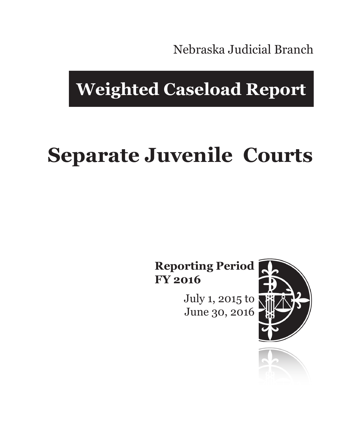Nebraska Judicial Branch

## **Weighted Caseload Report**

# **Separate Juvenile Courts**

**Reporting Period FY 2016**

> July 1, 2015 to June 30, 2016



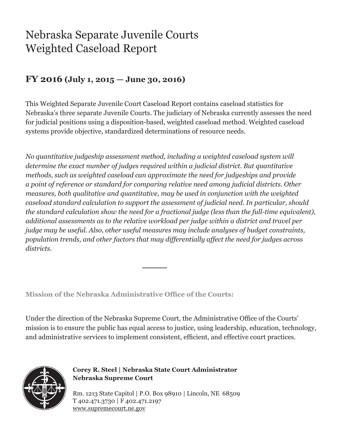### Nebraska Separate Juvenile Courts Weighted Caseload Report

#### **FY 2016 (July 1, 2015 — June 30, 2016)**

This Weighted Separate Juvenile Court Caseload Report contains caseload statistics for Nebraska's three separate Juvenile Courts. The judiciary of Nebraska currently assesses the need for judicial positions using a disposition-based, weighted caseload method. Weighted caseload systems provide objective, standardized determinations of resource needs.

*No quantitative judgeship assessment method, including a weighted caseload system will determine the exact number of judges required within a judicial district. But quantitative methods, such as weighted caseload can approximate the need for judgeships and provide a point of reference or standard for comparing relative need among judicial districts. Other measures, both qualitative and quantitative, may be used in conjunction with the weighted caseload standard calculation to support the assessment of judicial need. In particular, should the standard calculation show the need for a fractional judge (less than the full-time equivalent), additional assessments as to the relative workload per judge within a district and travel per judge may be useful. Also, other useful measures may include analyses of budget constraints, population trends, and other factors that may differentially affect the need for judges across districts.*

**Mission of the Nebraska Administrative Office of the Courts:**

Under the direction of the Nebraska Supreme Court, the Administrative Office of the Courts' mission is to ensure the public has equal access to justice, using leadership, education, technology, and administrative services to implement consistent, efficient, and effective court practices.



**Corey R. Steel | Nebraska State Court Administrator Nebraska Supreme Court**

Rm. 1213 State Capitol | P.O. Box 98910 | Lincoln, NE 68509 T 402.471.3730 | F 402.471.2197 www.supremecourt.ne.gov